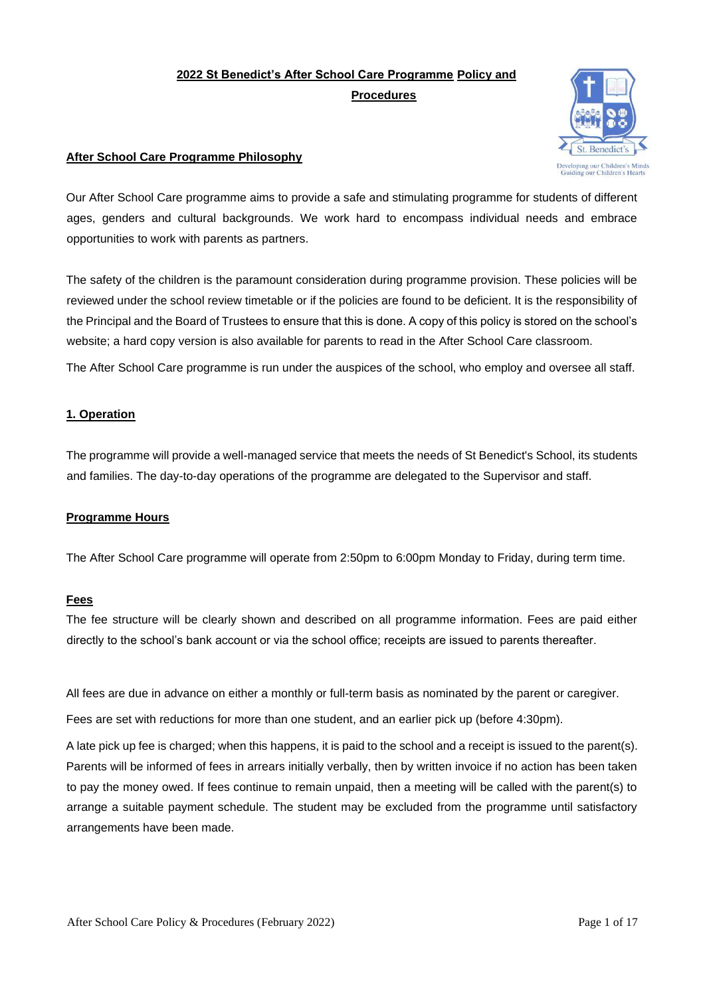# **2022 St Benedict's After School Care Programme Policy and Procedures**



# **After School Care Programme Philosophy**

Our After School Care programme aims to provide a safe and stimulating programme for students of different ages, genders and cultural backgrounds. We work hard to encompass individual needs and embrace opportunities to work with parents as partners.

The safety of the children is the paramount consideration during programme provision. These policies will be reviewed under the school review timetable or if the policies are found to be deficient. It is the responsibility of the Principal and the Board of Trustees to ensure that this is done. A copy of this policy is stored on the school's website; a hard copy version is also available for parents to read in the After School Care classroom.

The After School Care programme is run under the auspices of the school, who employ and oversee all staff.

# **1. Operation**

The programme will provide a well-managed service that meets the needs of St Benedict's School, its students and families. The day-to-day operations of the programme are delegated to the Supervisor and staff.

### **Programme Hours**

The After School Care programme will operate from 2:50pm to 6:00pm Monday to Friday, during term time.

### **Fees**

The fee structure will be clearly shown and described on all programme information. Fees are paid either directly to the school's bank account or via the school office; receipts are issued to parents thereafter.

All fees are due in advance on either a monthly or full-term basis as nominated by the parent or caregiver.

Fees are set with reductions for more than one student, and an earlier pick up (before 4:30pm).

A late pick up fee is charged; when this happens, it is paid to the school and a receipt is issued to the parent(s). Parents will be informed of fees in arrears initially verbally, then by written invoice if no action has been taken to pay the money owed. If fees continue to remain unpaid, then a meeting will be called with the parent(s) to arrange a suitable payment schedule. The student may be excluded from the programme until satisfactory arrangements have been made.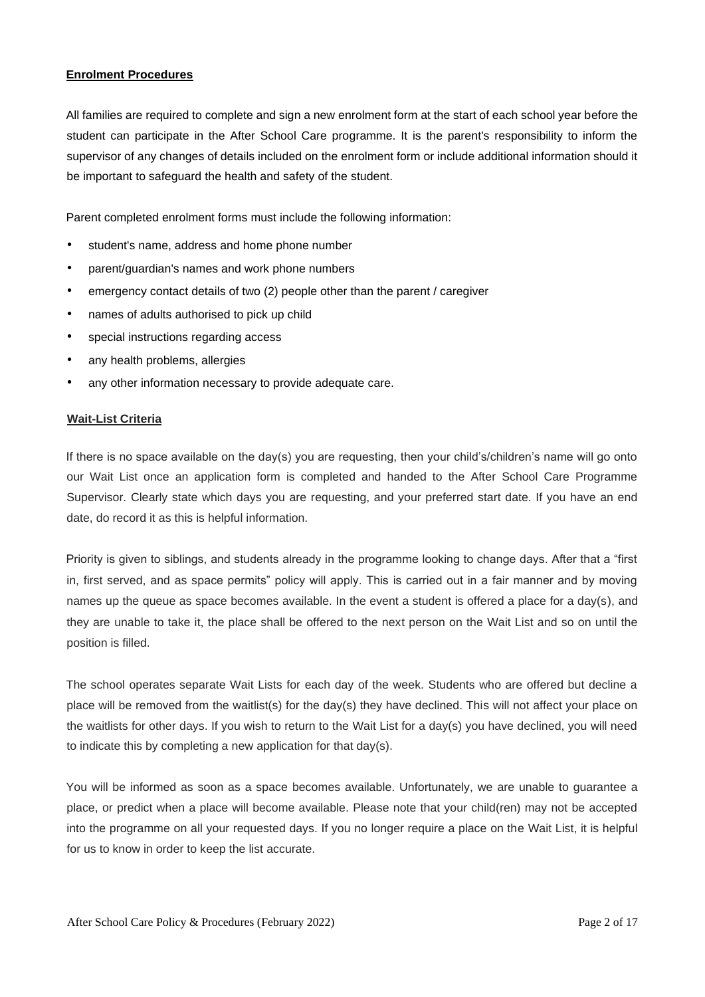#### **Enrolment Procedures**

All families are required to complete and sign a new enrolment form at the start of each school year before the student can participate in the After School Care programme. It is the parent's responsibility to inform the supervisor of any changes of details included on the enrolment form or include additional information should it be important to safeguard the health and safety of the student.

Parent completed enrolment forms must include the following information:

- student's name, address and home phone number
- parent/guardian's names and work phone numbers
- emergency contact details of two (2) people other than the parent / caregiver
- names of adults authorised to pick up child
- special instructions regarding access
- any health problems, allergies
- any other information necessary to provide adequate care.

#### **Wait-List Criteria**

If there is no space available on the day(s) you are requesting, then your child's/children's name will go onto our Wait List once an application form is completed and handed to the After School Care Programme Supervisor. Clearly state which days you are requesting, and your preferred start date. If you have an end date, do record it as this is helpful information.

Priority is given to siblings, and students already in the programme looking to change days. After that a "first in, first served, and as space permits" policy will apply. This is carried out in a fair manner and by moving names up the queue as space becomes available. In the event a student is offered a place for a day(s), and they are unable to take it, the place shall be offered to the next person on the Wait List and so on until the position is filled.

The school operates separate Wait Lists for each day of the week. Students who are offered but decline a place will be removed from the waitlist(s) for the day(s) they have declined. This will not affect your place on the waitlists for other days. If you wish to return to the Wait List for a day(s) you have declined, you will need to indicate this by completing a new application for that day(s).

You will be informed as soon as a space becomes available. Unfortunately, we are unable to guarantee a place, or predict when a place will become available. Please note that your child(ren) may not be accepted into the programme on all your requested days. If you no longer require a place on the Wait List, it is helpful for us to know in order to keep the list accurate.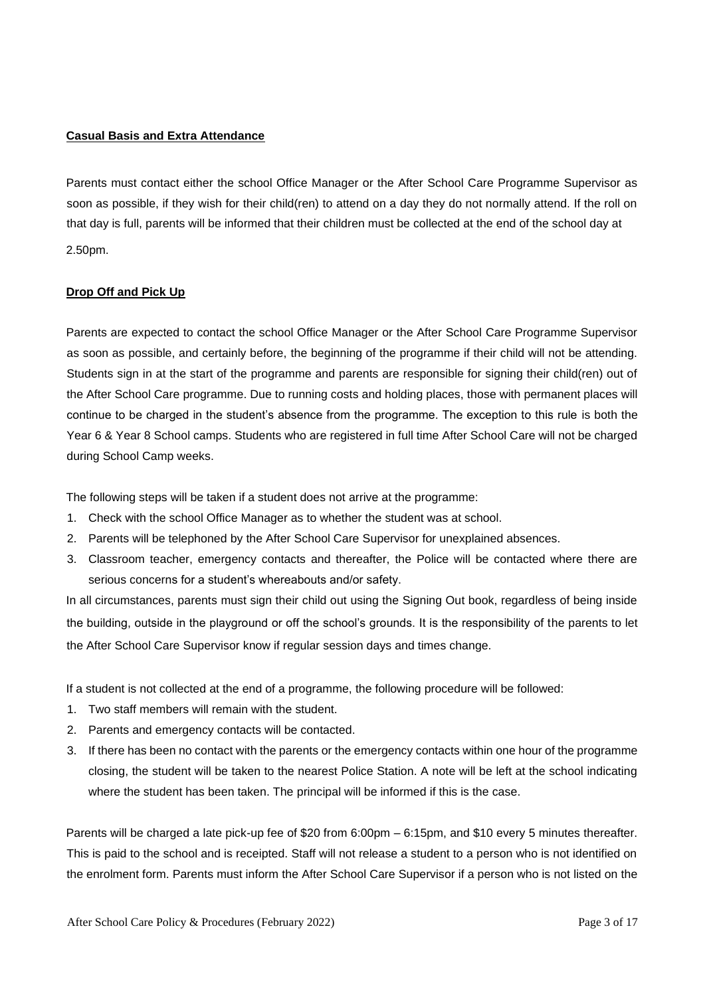#### **Casual Basis and Extra Attendance**

Parents must contact either the school Office Manager or the After School Care Programme Supervisor as soon as possible, if they wish for their child(ren) to attend on a day they do not normally attend. If the roll on that day is full, parents will be informed that their children must be collected at the end of the school day at 2.50pm.

#### **Drop Off and Pick Up**

Parents are expected to contact the school Office Manager or the After School Care Programme Supervisor as soon as possible, and certainly before, the beginning of the programme if their child will not be attending. Students sign in at the start of the programme and parents are responsible for signing their child(ren) out of the After School Care programme. Due to running costs and holding places, those with permanent places will continue to be charged in the student's absence from the programme. The exception to this rule is both the Year 6 & Year 8 School camps. Students who are registered in full time After School Care will not be charged during School Camp weeks.

The following steps will be taken if a student does not arrive at the programme:

- 1. Check with the school Office Manager as to whether the student was at school.
- 2. Parents will be telephoned by the After School Care Supervisor for unexplained absences.
- 3. Classroom teacher, emergency contacts and thereafter, the Police will be contacted where there are serious concerns for a student's whereabouts and/or safety.

In all circumstances, parents must sign their child out using the Signing Out book, regardless of being inside the building, outside in the playground or off the school's grounds. It is the responsibility of the parents to let the After School Care Supervisor know if regular session days and times change.

If a student is not collected at the end of a programme, the following procedure will be followed:

- 1. Two staff members will remain with the student.
- 2. Parents and emergency contacts will be contacted.
- 3. If there has been no contact with the parents or the emergency contacts within one hour of the programme closing, the student will be taken to the nearest Police Station. A note will be left at the school indicating where the student has been taken. The principal will be informed if this is the case.

Parents will be charged a late pick-up fee of \$20 from 6:00pm – 6:15pm, and \$10 every 5 minutes thereafter. This is paid to the school and is receipted. Staff will not release a student to a person who is not identified on the enrolment form. Parents must inform the After School Care Supervisor if a person who is not listed on the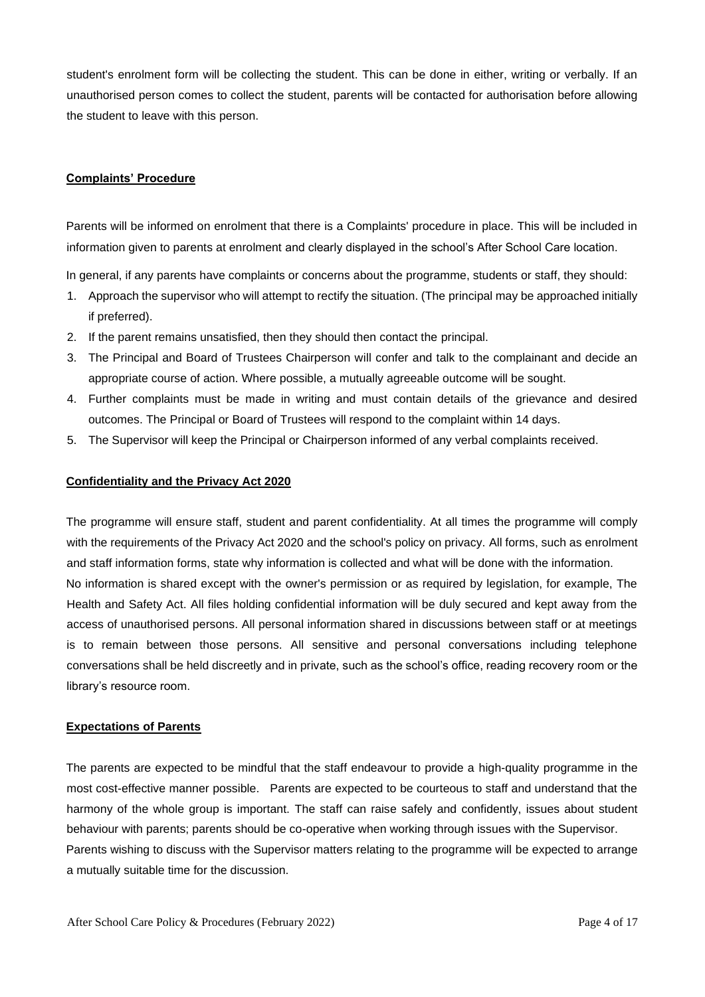student's enrolment form will be collecting the student. This can be done in either, writing or verbally. If an unauthorised person comes to collect the student, parents will be contacted for authorisation before allowing the student to leave with this person.

#### **Complaints' Procedure**

Parents will be informed on enrolment that there is a Complaints' procedure in place. This will be included in information given to parents at enrolment and clearly displayed in the school's After School Care location.

In general, if any parents have complaints or concerns about the programme, students or staff, they should:

- 1. Approach the supervisor who will attempt to rectify the situation. (The principal may be approached initially if preferred).
- 2. If the parent remains unsatisfied, then they should then contact the principal.
- 3. The Principal and Board of Trustees Chairperson will confer and talk to the complainant and decide an appropriate course of action. Where possible, a mutually agreeable outcome will be sought.
- 4. Further complaints must be made in writing and must contain details of the grievance and desired outcomes. The Principal or Board of Trustees will respond to the complaint within 14 days.
- 5. The Supervisor will keep the Principal or Chairperson informed of any verbal complaints received.

#### **Confidentiality and the Privacy Act 2020**

The programme will ensure staff, student and parent confidentiality. At all times the programme will comply with the requirements of the Privacy Act 2020 and the school's policy on privacy. All forms, such as enrolment and staff information forms, state why information is collected and what will be done with the information. No information is shared except with the owner's permission or as required by legislation, for example, The Health and Safety Act. All files holding confidential information will be duly secured and kept away from the access of unauthorised persons. All personal information shared in discussions between staff or at meetings is to remain between those persons. All sensitive and personal conversations including telephone conversations shall be held discreetly and in private, such as the school's office, reading recovery room or the library's resource room.

#### **Expectations of Parents**

The parents are expected to be mindful that the staff endeavour to provide a high-quality programme in the most cost-effective manner possible. Parents are expected to be courteous to staff and understand that the harmony of the whole group is important. The staff can raise safely and confidently, issues about student behaviour with parents; parents should be co-operative when working through issues with the Supervisor. Parents wishing to discuss with the Supervisor matters relating to the programme will be expected to arrange a mutually suitable time for the discussion.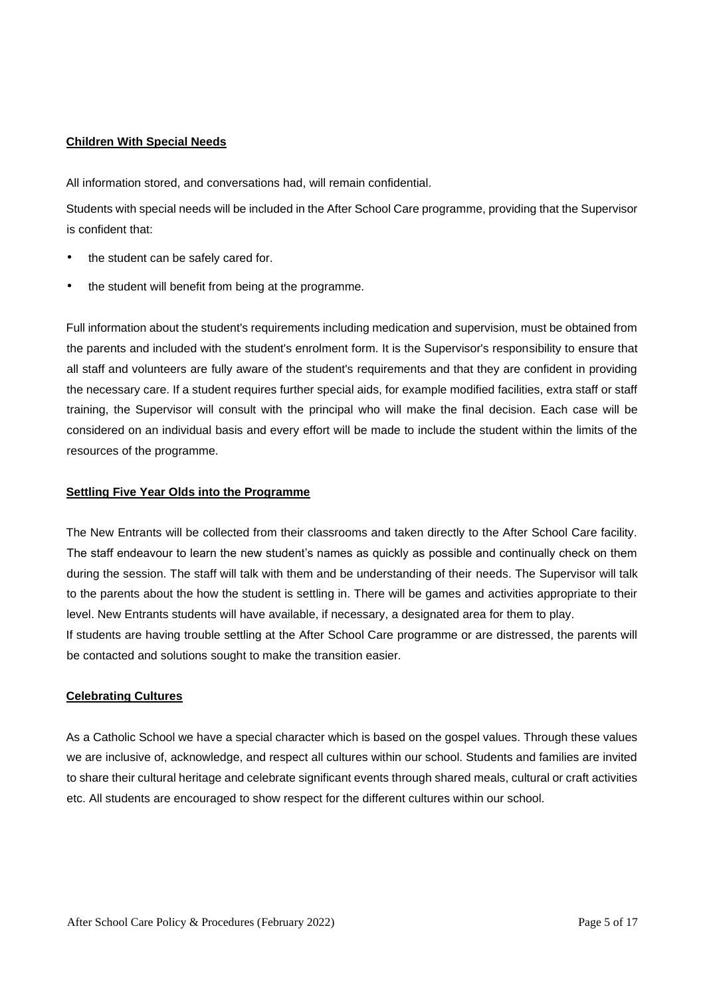#### **Children With Special Needs**

All information stored, and conversations had, will remain confidential.

Students with special needs will be included in the After School Care programme, providing that the Supervisor is confident that:

- the student can be safely cared for.
- the student will benefit from being at the programme.

Full information about the student's requirements including medication and supervision, must be obtained from the parents and included with the student's enrolment form. It is the Supervisor's responsibility to ensure that all staff and volunteers are fully aware of the student's requirements and that they are confident in providing the necessary care. If a student requires further special aids, for example modified facilities, extra staff or staff training, the Supervisor will consult with the principal who will make the final decision. Each case will be considered on an individual basis and every effort will be made to include the student within the limits of the resources of the programme.

#### **Settling Five Year Olds into the Programme**

The New Entrants will be collected from their classrooms and taken directly to the After School Care facility. The staff endeavour to learn the new student's names as quickly as possible and continually check on them during the session. The staff will talk with them and be understanding of their needs. The Supervisor will talk to the parents about the how the student is settling in. There will be games and activities appropriate to their level. New Entrants students will have available, if necessary, a designated area for them to play. If students are having trouble settling at the After School Care programme or are distressed, the parents will be contacted and solutions sought to make the transition easier.

#### **Celebrating Cultures**

As a Catholic School we have a special character which is based on the gospel values. Through these values we are inclusive of, acknowledge, and respect all cultures within our school. Students and families are invited to share their cultural heritage and celebrate significant events through shared meals, cultural or craft activities etc. All students are encouraged to show respect for the different cultures within our school.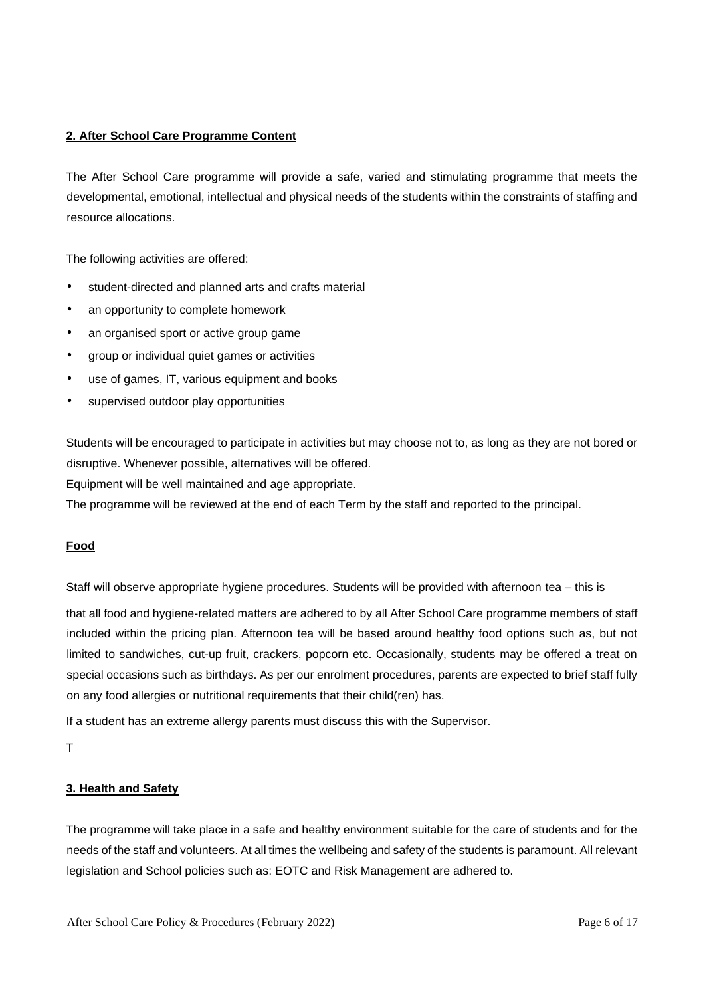### **2. After School Care Programme Content**

The After School Care programme will provide a safe, varied and stimulating programme that meets the developmental, emotional, intellectual and physical needs of the students within the constraints of staffing and resource allocations.

The following activities are offered:

- student-directed and planned arts and crafts material
- an opportunity to complete homework
- an organised sport or active group game
- group or individual quiet games or activities
- use of games, IT, various equipment and books
- supervised outdoor play opportunities

Students will be encouraged to participate in activities but may choose not to, as long as they are not bored or disruptive. Whenever possible, alternatives will be offered.

Equipment will be well maintained and age appropriate.

The programme will be reviewed at the end of each Term by the staff and reported to the principal.

### **Food**

Staff will observe appropriate hygiene procedures. Students will be provided with afternoon tea – this is

that all food and hygiene-related matters are adhered to by all After School Care programme members of staff included within the pricing plan. Afternoon tea will be based around healthy food options such as, but not limited to sandwiches, cut-up fruit, crackers, popcorn etc. Occasionally, students may be offered a treat on special occasions such as birthdays. As per our enrolment procedures, parents are expected to brief staff fully on any food allergies or nutritional requirements that their child(ren) has.

If a student has an extreme allergy parents must discuss this with the Supervisor.

T

#### **3. Health and Safety**

The programme will take place in a safe and healthy environment suitable for the care of students and for the needs of the staff and volunteers. At all times the wellbeing and safety of the students is paramount. All relevant legislation and School policies such as: EOTC and Risk Management are adhered to.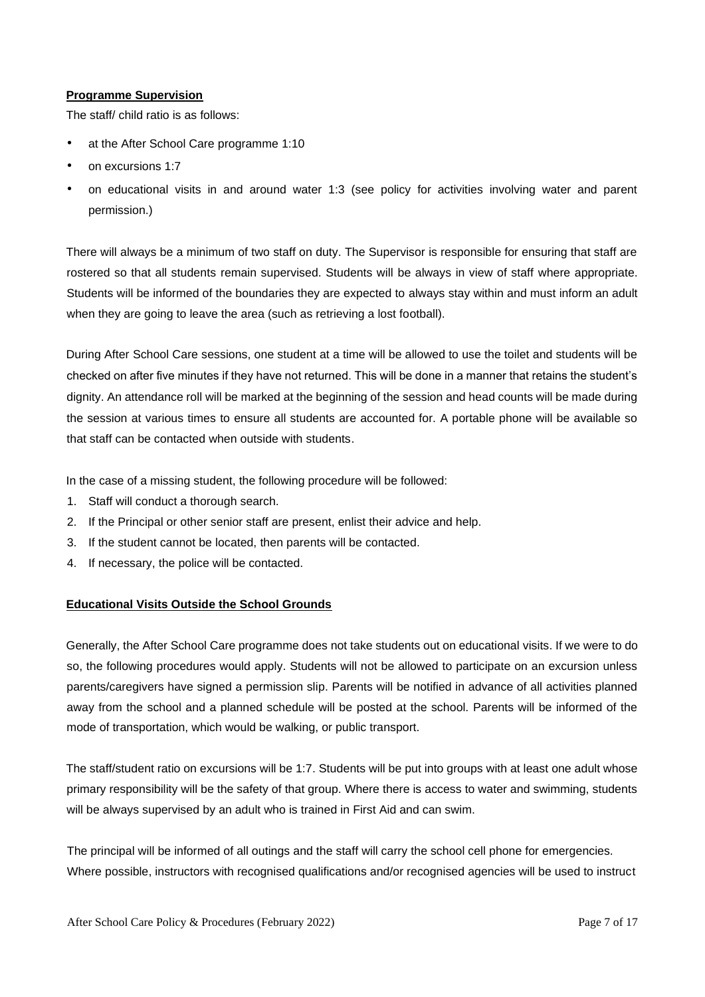# **Programme Supervision**

The staff/ child ratio is as follows:

- at the After School Care programme 1:10
- on excursions 1:7
- on educational visits in and around water 1:3 (see policy for activities involving water and parent permission.)

There will always be a minimum of two staff on duty. The Supervisor is responsible for ensuring that staff are rostered so that all students remain supervised. Students will be always in view of staff where appropriate. Students will be informed of the boundaries they are expected to always stay within and must inform an adult when they are going to leave the area (such as retrieving a lost football).

During After School Care sessions, one student at a time will be allowed to use the toilet and students will be checked on after five minutes if they have not returned. This will be done in a manner that retains the student's dignity. An attendance roll will be marked at the beginning of the session and head counts will be made during the session at various times to ensure all students are accounted for. A portable phone will be available so that staff can be contacted when outside with students.

In the case of a missing student, the following procedure will be followed:

- 1. Staff will conduct a thorough search.
- 2. If the Principal or other senior staff are present, enlist their advice and help.
- 3. If the student cannot be located, then parents will be contacted.
- 4. If necessary, the police will be contacted.

### **Educational Visits Outside the School Grounds**

Generally, the After School Care programme does not take students out on educational visits. If we were to do so, the following procedures would apply. Students will not be allowed to participate on an excursion unless parents/caregivers have signed a permission slip. Parents will be notified in advance of all activities planned away from the school and a planned schedule will be posted at the school. Parents will be informed of the mode of transportation, which would be walking, or public transport.

The staff/student ratio on excursions will be 1:7. Students will be put into groups with at least one adult whose primary responsibility will be the safety of that group. Where there is access to water and swimming, students will be always supervised by an adult who is trained in First Aid and can swim.

The principal will be informed of all outings and the staff will carry the school cell phone for emergencies. Where possible, instructors with recognised qualifications and/or recognised agencies will be used to instruct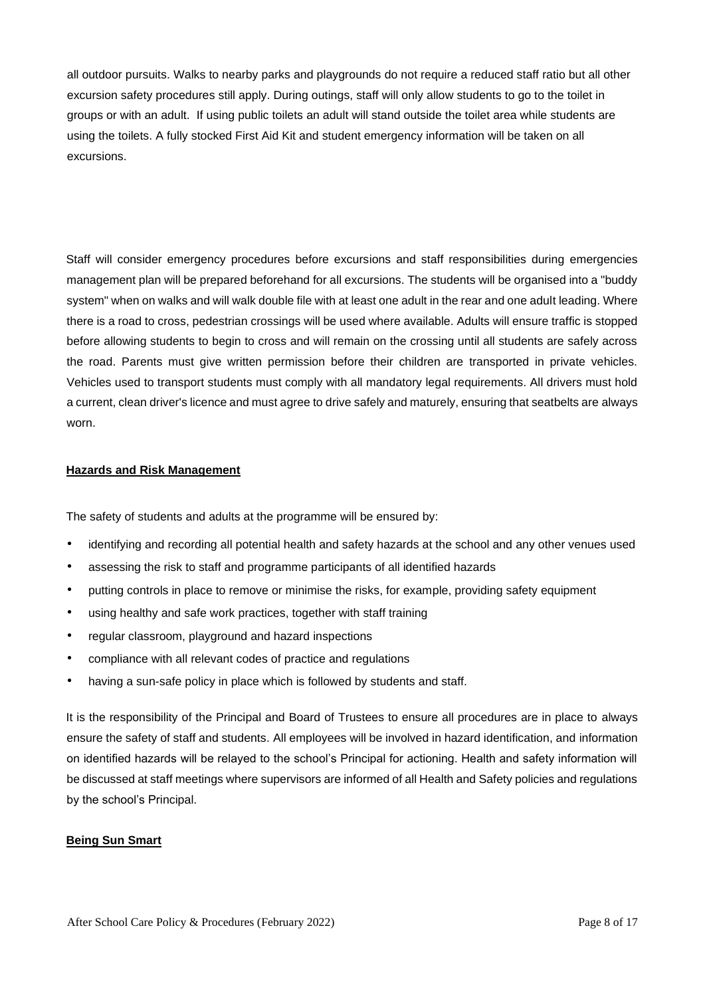all outdoor pursuits. Walks to nearby parks and playgrounds do not require a reduced staff ratio but all other excursion safety procedures still apply. During outings, staff will only allow students to go to the toilet in groups or with an adult. If using public toilets an adult will stand outside the toilet area while students are using the toilets. A fully stocked First Aid Kit and student emergency information will be taken on all excursions.

Staff will consider emergency procedures before excursions and staff responsibilities during emergencies management plan will be prepared beforehand for all excursions. The students will be organised into a "buddy system" when on walks and will walk double file with at least one adult in the rear and one adult leading. Where there is a road to cross, pedestrian crossings will be used where available. Adults will ensure traffic is stopped before allowing students to begin to cross and will remain on the crossing until all students are safely across the road. Parents must give written permission before their children are transported in private vehicles. Vehicles used to transport students must comply with all mandatory legal requirements. All drivers must hold a current, clean driver's licence and must agree to drive safely and maturely, ensuring that seatbelts are always worn.

#### **Hazards and Risk Management**

The safety of students and adults at the programme will be ensured by:

- identifying and recording all potential health and safety hazards at the school and any other venues used
- assessing the risk to staff and programme participants of all identified hazards
- putting controls in place to remove or minimise the risks, for example, providing safety equipment
- using healthy and safe work practices, together with staff training
- regular classroom, playground and hazard inspections
- compliance with all relevant codes of practice and regulations
- having a sun-safe policy in place which is followed by students and staff.

It is the responsibility of the Principal and Board of Trustees to ensure all procedures are in place to always ensure the safety of staff and students. All employees will be involved in hazard identification, and information on identified hazards will be relayed to the school's Principal for actioning. Health and safety information will be discussed at staff meetings where supervisors are informed of all Health and Safety policies and regulations by the school's Principal.

#### **Being Sun Smart**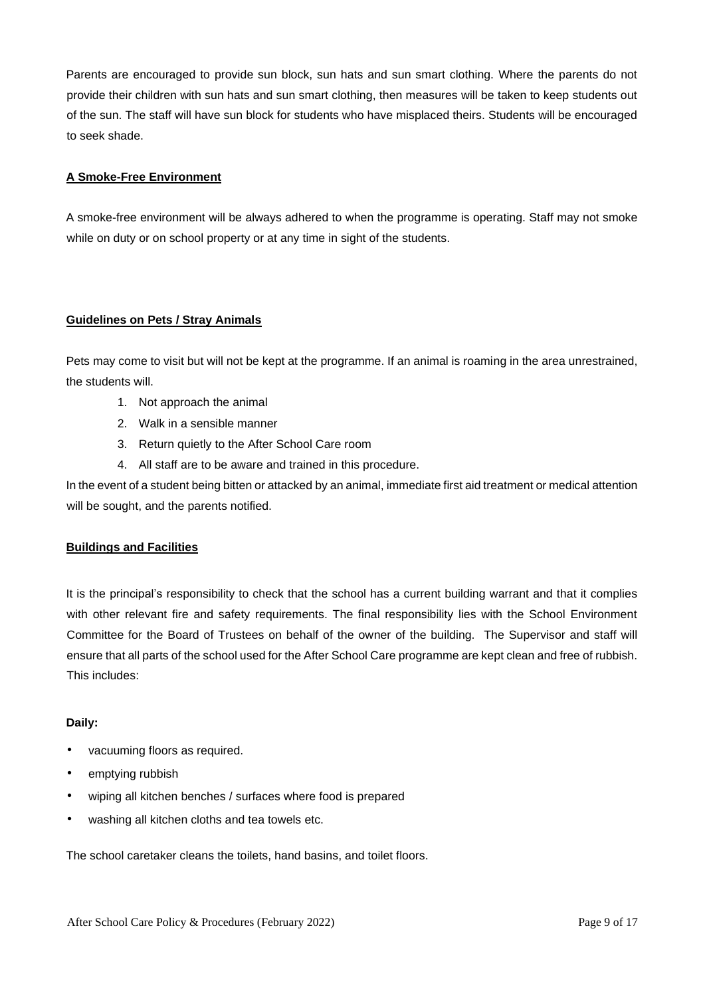Parents are encouraged to provide sun block, sun hats and sun smart clothing. Where the parents do not provide their children with sun hats and sun smart clothing, then measures will be taken to keep students out of the sun. The staff will have sun block for students who have misplaced theirs. Students will be encouraged to seek shade.

# **A Smoke-Free Environment**

A smoke-free environment will be always adhered to when the programme is operating. Staff may not smoke while on duty or on school property or at any time in sight of the students.

# **Guidelines on Pets / Stray Animals**

Pets may come to visit but will not be kept at the programme. If an animal is roaming in the area unrestrained, the students will.

- 1. Not approach the animal
- 2. Walk in a sensible manner
- 3. Return quietly to the After School Care room
- 4. All staff are to be aware and trained in this procedure.

In the event of a student being bitten or attacked by an animal, immediate first aid treatment or medical attention will be sought, and the parents notified.

### **Buildings and Facilities**

It is the principal's responsibility to check that the school has a current building warrant and that it complies with other relevant fire and safety requirements. The final responsibility lies with the School Environment Committee for the Board of Trustees on behalf of the owner of the building. The Supervisor and staff will ensure that all parts of the school used for the After School Care programme are kept clean and free of rubbish. This includes:

### **Daily:**

- vacuuming floors as required.
- emptying rubbish
- wiping all kitchen benches / surfaces where food is prepared
- washing all kitchen cloths and tea towels etc.

The school caretaker cleans the toilets, hand basins, and toilet floors.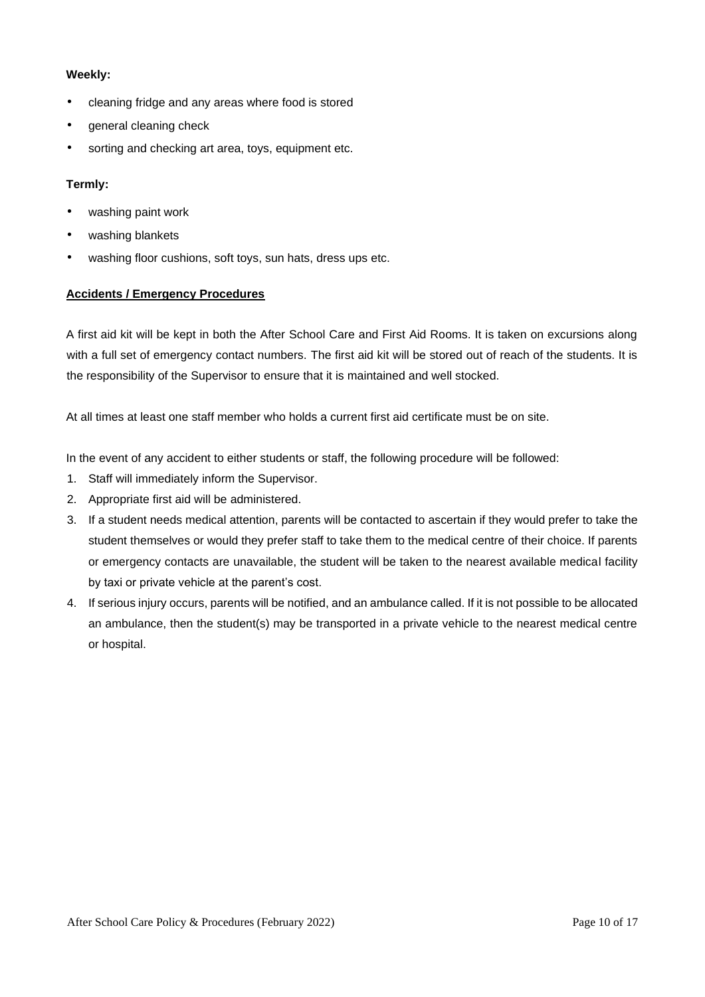#### **Weekly:**

- cleaning fridge and any areas where food is stored
- general cleaning check
- sorting and checking art area, toys, equipment etc.

# **Termly:**

- washing paint work
- washing blankets
- washing floor cushions, soft toys, sun hats, dress ups etc.

# **Accidents / Emergency Procedures**

A first aid kit will be kept in both the After School Care and First Aid Rooms. It is taken on excursions along with a full set of emergency contact numbers. The first aid kit will be stored out of reach of the students. It is the responsibility of the Supervisor to ensure that it is maintained and well stocked.

At all times at least one staff member who holds a current first aid certificate must be on site.

In the event of any accident to either students or staff, the following procedure will be followed:

- 1. Staff will immediately inform the Supervisor.
- 2. Appropriate first aid will be administered.
- 3. If a student needs medical attention, parents will be contacted to ascertain if they would prefer to take the student themselves or would they prefer staff to take them to the medical centre of their choice. If parents or emergency contacts are unavailable, the student will be taken to the nearest available medical facility by taxi or private vehicle at the parent's cost.
- 4. If serious injury occurs, parents will be notified, and an ambulance called. If it is not possible to be allocated an ambulance, then the student(s) may be transported in a private vehicle to the nearest medical centre or hospital.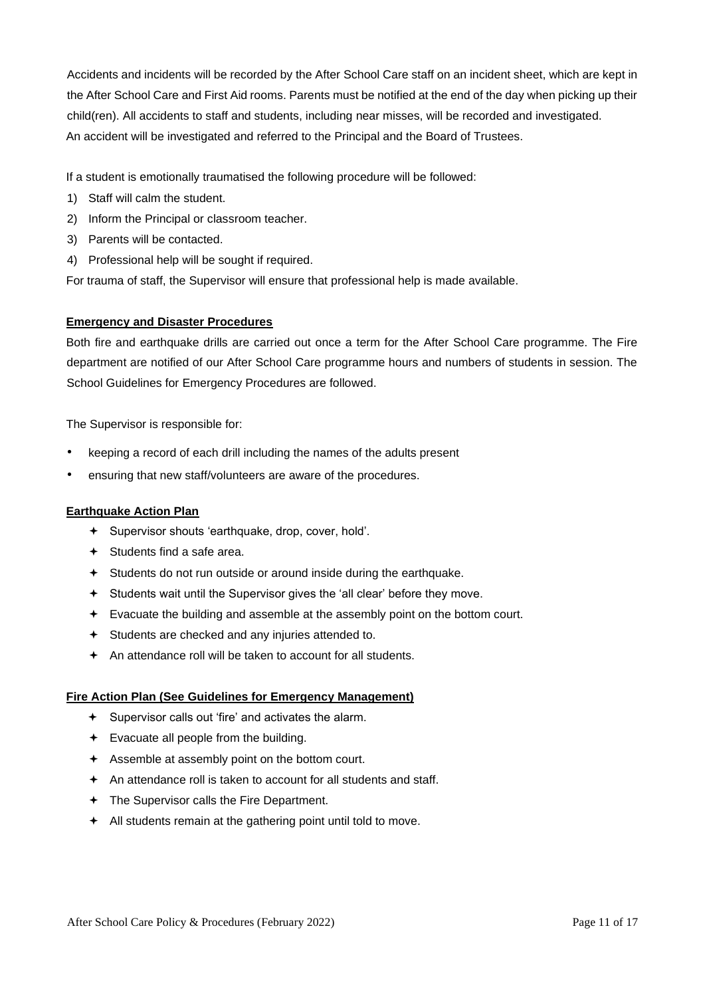Accidents and incidents will be recorded by the After School Care staff on an incident sheet, which are kept in the After School Care and First Aid rooms. Parents must be notified at the end of the day when picking up their child(ren). All accidents to staff and students, including near misses, will be recorded and investigated. An accident will be investigated and referred to the Principal and the Board of Trustees.

If a student is emotionally traumatised the following procedure will be followed:

- 1) Staff will calm the student.
- 2) Inform the Principal or classroom teacher.
- 3) Parents will be contacted.
- 4) Professional help will be sought if required.

For trauma of staff, the Supervisor will ensure that professional help is made available.

### **Emergency and Disaster Procedures**

Both fire and earthquake drills are carried out once a term for the After School Care programme. The Fire department are notified of our After School Care programme hours and numbers of students in session. The School Guidelines for Emergency Procedures are followed.

The Supervisor is responsible for:

- keeping a record of each drill including the names of the adults present
- ensuring that new staff/volunteers are aware of the procedures.

### **Earthquake Action Plan**

- Supervisor shouts 'earthquake, drop, cover, hold'.
- $\div$  Students find a safe area.
- Students do not run outside or around inside during the earthquake.
- Students wait until the Supervisor gives the 'all clear' before they move.
- Evacuate the building and assemble at the assembly point on the bottom court.
- Students are checked and any injuries attended to.
- An attendance roll will be taken to account for all students.

#### **Fire Action Plan (See Guidelines for Emergency Management)**

- Supervisor calls out 'fire' and activates the alarm.
- Evacuate all people from the building.
- Assemble at assembly point on the bottom court.
- An attendance roll is taken to account for all students and staff.
- The Supervisor calls the Fire Department.
- All students remain at the gathering point until told to move.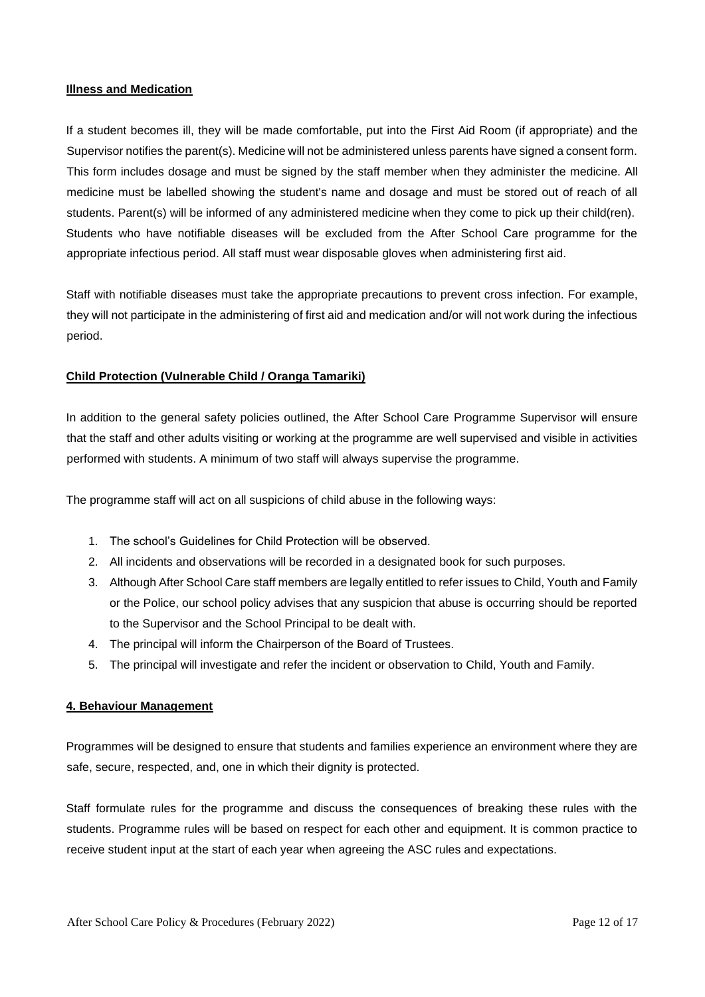#### **Illness and Medication**

If a student becomes ill, they will be made comfortable, put into the First Aid Room (if appropriate) and the Supervisor notifies the parent(s). Medicine will not be administered unless parents have signed a consent form. This form includes dosage and must be signed by the staff member when they administer the medicine. All medicine must be labelled showing the student's name and dosage and must be stored out of reach of all students. Parent(s) will be informed of any administered medicine when they come to pick up their child(ren). Students who have notifiable diseases will be excluded from the After School Care programme for the appropriate infectious period. All staff must wear disposable gloves when administering first aid.

Staff with notifiable diseases must take the appropriate precautions to prevent cross infection. For example, they will not participate in the administering of first aid and medication and/or will not work during the infectious period.

### **Child Protection (Vulnerable Child / Oranga Tamariki)**

In addition to the general safety policies outlined, the After School Care Programme Supervisor will ensure that the staff and other adults visiting or working at the programme are well supervised and visible in activities performed with students. A minimum of two staff will always supervise the programme.

The programme staff will act on all suspicions of child abuse in the following ways:

- 1. The school's Guidelines for Child Protection will be observed.
- 2. All incidents and observations will be recorded in a designated book for such purposes.
- 3. Although After School Care staff members are legally entitled to refer issues to Child, Youth and Family or the Police, our school policy advises that any suspicion that abuse is occurring should be reported to the Supervisor and the School Principal to be dealt with.
- 4. The principal will inform the Chairperson of the Board of Trustees.
- 5. The principal will investigate and refer the incident or observation to Child, Youth and Family.

#### **4. Behaviour Management**

Programmes will be designed to ensure that students and families experience an environment where they are safe, secure, respected, and, one in which their dignity is protected.

Staff formulate rules for the programme and discuss the consequences of breaking these rules with the students. Programme rules will be based on respect for each other and equipment. It is common practice to receive student input at the start of each year when agreeing the ASC rules and expectations.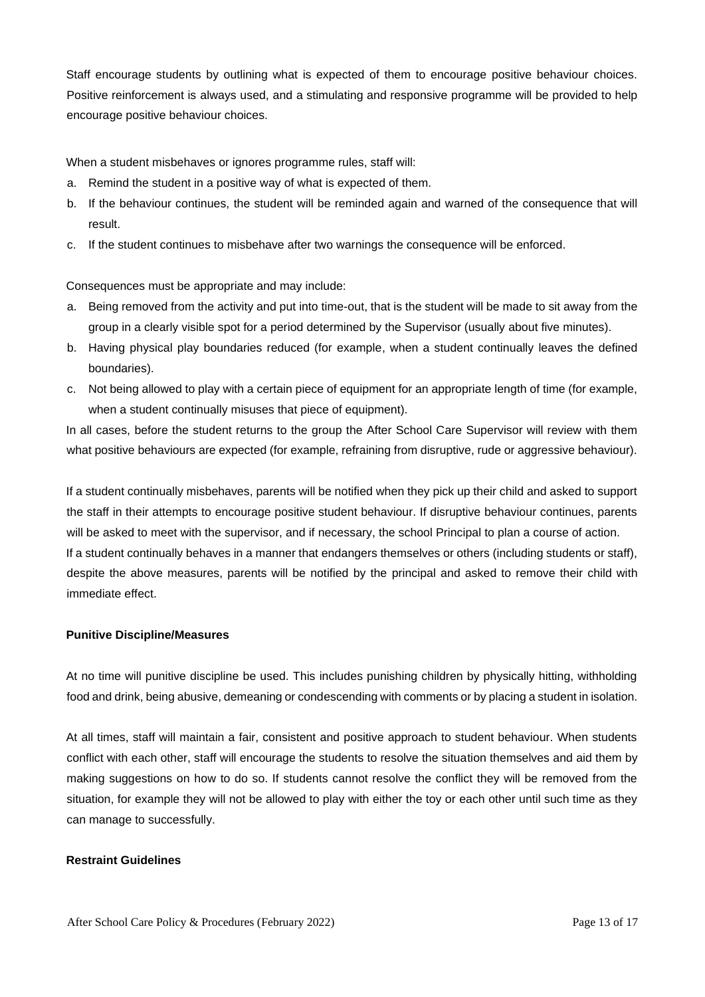Staff encourage students by outlining what is expected of them to encourage positive behaviour choices. Positive reinforcement is always used, and a stimulating and responsive programme will be provided to help encourage positive behaviour choices.

When a student misbehaves or ignores programme rules, staff will:

- a. Remind the student in a positive way of what is expected of them.
- b. If the behaviour continues, the student will be reminded again and warned of the consequence that will result.
- c. If the student continues to misbehave after two warnings the consequence will be enforced.

Consequences must be appropriate and may include:

- a. Being removed from the activity and put into time-out, that is the student will be made to sit away from the group in a clearly visible spot for a period determined by the Supervisor (usually about five minutes).
- b. Having physical play boundaries reduced (for example, when a student continually leaves the defined boundaries).
- c. Not being allowed to play with a certain piece of equipment for an appropriate length of time (for example, when a student continually misuses that piece of equipment).

In all cases, before the student returns to the group the After School Care Supervisor will review with them what positive behaviours are expected (for example, refraining from disruptive, rude or aggressive behaviour).

If a student continually misbehaves, parents will be notified when they pick up their child and asked to support the staff in their attempts to encourage positive student behaviour. If disruptive behaviour continues, parents will be asked to meet with the supervisor, and if necessary, the school Principal to plan a course of action. If a student continually behaves in a manner that endangers themselves or others (including students or staff), despite the above measures, parents will be notified by the principal and asked to remove their child with immediate effect.

### **Punitive Discipline/Measures**

At no time will punitive discipline be used. This includes punishing children by physically hitting, withholding food and drink, being abusive, demeaning or condescending with comments or by placing a student in isolation.

At all times, staff will maintain a fair, consistent and positive approach to student behaviour. When students conflict with each other, staff will encourage the students to resolve the situation themselves and aid them by making suggestions on how to do so. If students cannot resolve the conflict they will be removed from the situation, for example they will not be allowed to play with either the toy or each other until such time as they can manage to successfully.

# **Restraint Guidelines**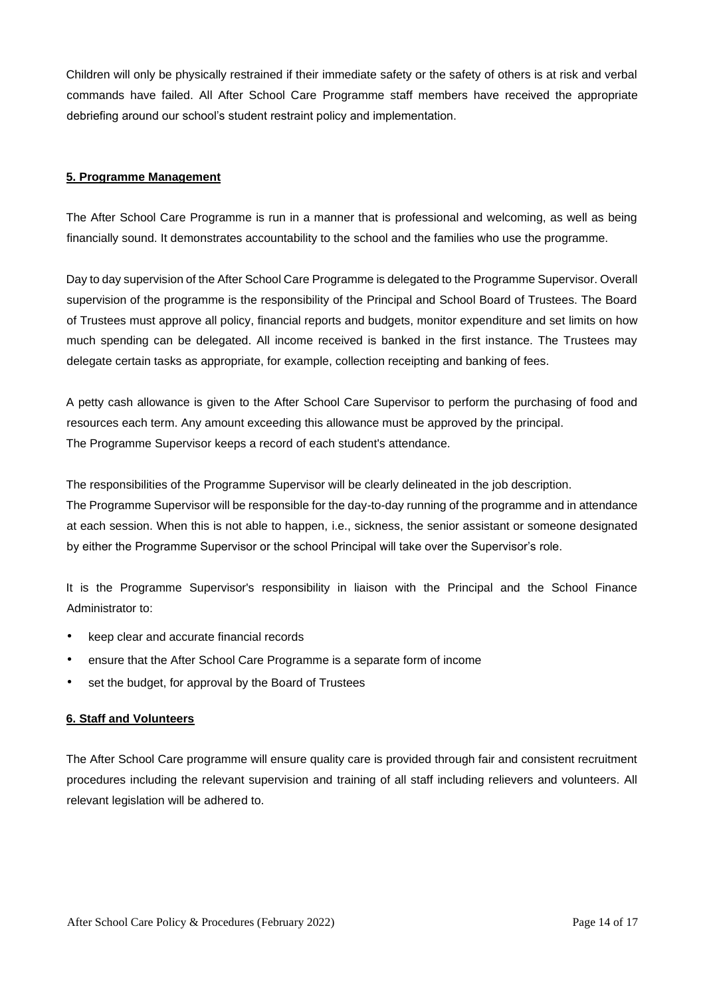Children will only be physically restrained if their immediate safety or the safety of others is at risk and verbal commands have failed. All After School Care Programme staff members have received the appropriate debriefing around our school's student restraint policy and implementation.

### **5. Programme Management**

The After School Care Programme is run in a manner that is professional and welcoming, as well as being financially sound. It demonstrates accountability to the school and the families who use the programme.

Day to day supervision of the After School Care Programme is delegated to the Programme Supervisor. Overall supervision of the programme is the responsibility of the Principal and School Board of Trustees. The Board of Trustees must approve all policy, financial reports and budgets, monitor expenditure and set limits on how much spending can be delegated. All income received is banked in the first instance. The Trustees may delegate certain tasks as appropriate, for example, collection receipting and banking of fees.

A petty cash allowance is given to the After School Care Supervisor to perform the purchasing of food and resources each term. Any amount exceeding this allowance must be approved by the principal. The Programme Supervisor keeps a record of each student's attendance.

The responsibilities of the Programme Supervisor will be clearly delineated in the job description.

The Programme Supervisor will be responsible for the day-to-day running of the programme and in attendance at each session. When this is not able to happen, i.e., sickness, the senior assistant or someone designated by either the Programme Supervisor or the school Principal will take over the Supervisor's role.

It is the Programme Supervisor's responsibility in liaison with the Principal and the School Finance Administrator to:

- keep clear and accurate financial records
- ensure that the After School Care Programme is a separate form of income
- set the budget, for approval by the Board of Trustees

### **6. Staff and Volunteers**

The After School Care programme will ensure quality care is provided through fair and consistent recruitment procedures including the relevant supervision and training of all staff including relievers and volunteers. All relevant legislation will be adhered to.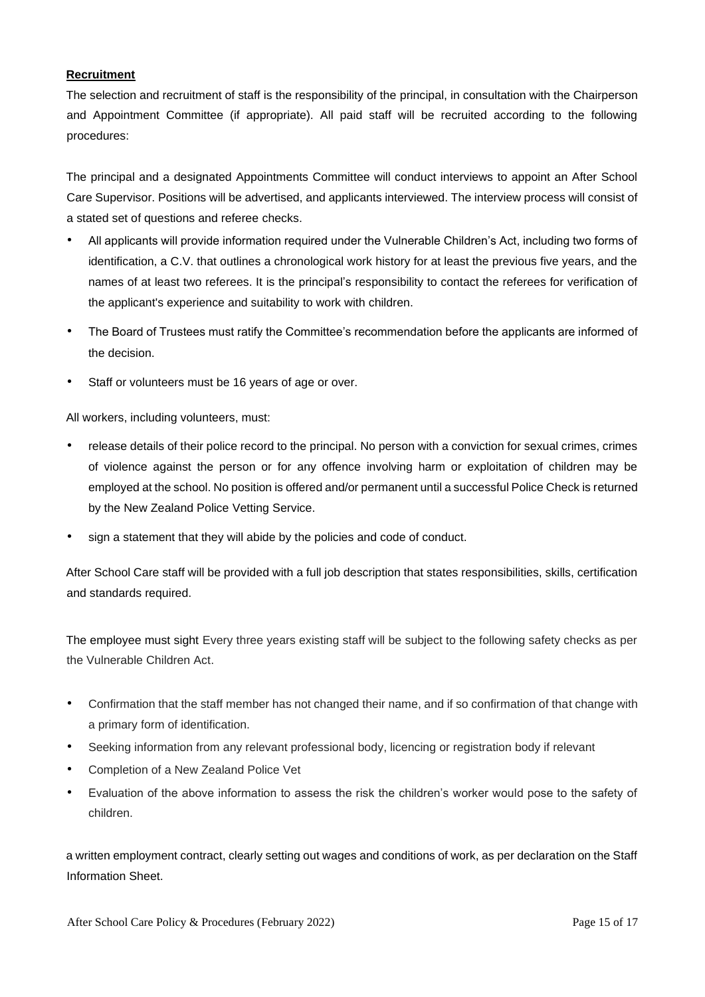# **Recruitment**

The selection and recruitment of staff is the responsibility of the principal, in consultation with the Chairperson and Appointment Committee (if appropriate). All paid staff will be recruited according to the following procedures:

The principal and a designated Appointments Committee will conduct interviews to appoint an After School Care Supervisor. Positions will be advertised, and applicants interviewed. The interview process will consist of a stated set of questions and referee checks.

- All applicants will provide information required under the Vulnerable Children's Act, including two forms of identification, a C.V. that outlines a chronological work history for at least the previous five years, and the names of at least two referees. It is the principal's responsibility to contact the referees for verification of the applicant's experience and suitability to work with children.
- The Board of Trustees must ratify the Committee's recommendation before the applicants are informed of the decision.
- Staff or volunteers must be 16 years of age or over.

All workers, including volunteers, must:

- release details of their police record to the principal. No person with a conviction for sexual crimes, crimes of violence against the person or for any offence involving harm or exploitation of children may be employed at the school. No position is offered and/or permanent until a successful Police Check is returned by the New Zealand Police Vetting Service.
- sign a statement that they will abide by the policies and code of conduct.

After School Care staff will be provided with a full job description that states responsibilities, skills, certification and standards required.

The employee must sight Every three years existing staff will be subject to the following safety checks as per the Vulnerable Children Act.

- Confirmation that the staff member has not changed their name, and if so confirmation of that change with a primary form of identification.
- Seeking information from any relevant professional body, licencing or registration body if relevant
- Completion of a New Zealand Police Vet
- Evaluation of the above information to assess the risk the children's worker would pose to the safety of children.

a written employment contract, clearly setting out wages and conditions of work, as per declaration on the Staff Information Sheet.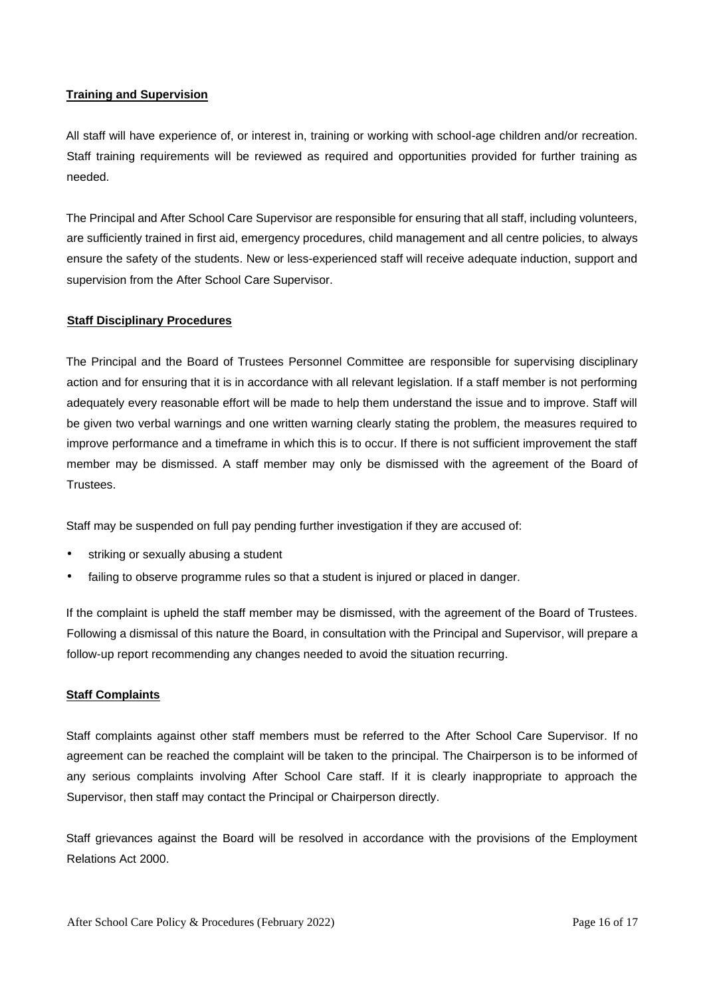# **Training and Supervision**

All staff will have experience of, or interest in, training or working with school-age children and/or recreation. Staff training requirements will be reviewed as required and opportunities provided for further training as needed.

The Principal and After School Care Supervisor are responsible for ensuring that all staff, including volunteers, are sufficiently trained in first aid, emergency procedures, child management and all centre policies, to always ensure the safety of the students. New or less-experienced staff will receive adequate induction, support and supervision from the After School Care Supervisor.

### **Staff Disciplinary Procedures**

The Principal and the Board of Trustees Personnel Committee are responsible for supervising disciplinary action and for ensuring that it is in accordance with all relevant legislation. If a staff member is not performing adequately every reasonable effort will be made to help them understand the issue and to improve. Staff will be given two verbal warnings and one written warning clearly stating the problem, the measures required to improve performance and a timeframe in which this is to occur. If there is not sufficient improvement the staff member may be dismissed. A staff member may only be dismissed with the agreement of the Board of Trustees.

Staff may be suspended on full pay pending further investigation if they are accused of:

- striking or sexually abusing a student
- failing to observe programme rules so that a student is injured or placed in danger.

If the complaint is upheld the staff member may be dismissed, with the agreement of the Board of Trustees. Following a dismissal of this nature the Board, in consultation with the Principal and Supervisor, will prepare a follow-up report recommending any changes needed to avoid the situation recurring.

#### **Staff Complaints**

Staff complaints against other staff members must be referred to the After School Care Supervisor. If no agreement can be reached the complaint will be taken to the principal. The Chairperson is to be informed of any serious complaints involving After School Care staff. If it is clearly inappropriate to approach the Supervisor, then staff may contact the Principal or Chairperson directly.

Staff grievances against the Board will be resolved in accordance with the provisions of the Employment Relations Act 2000.